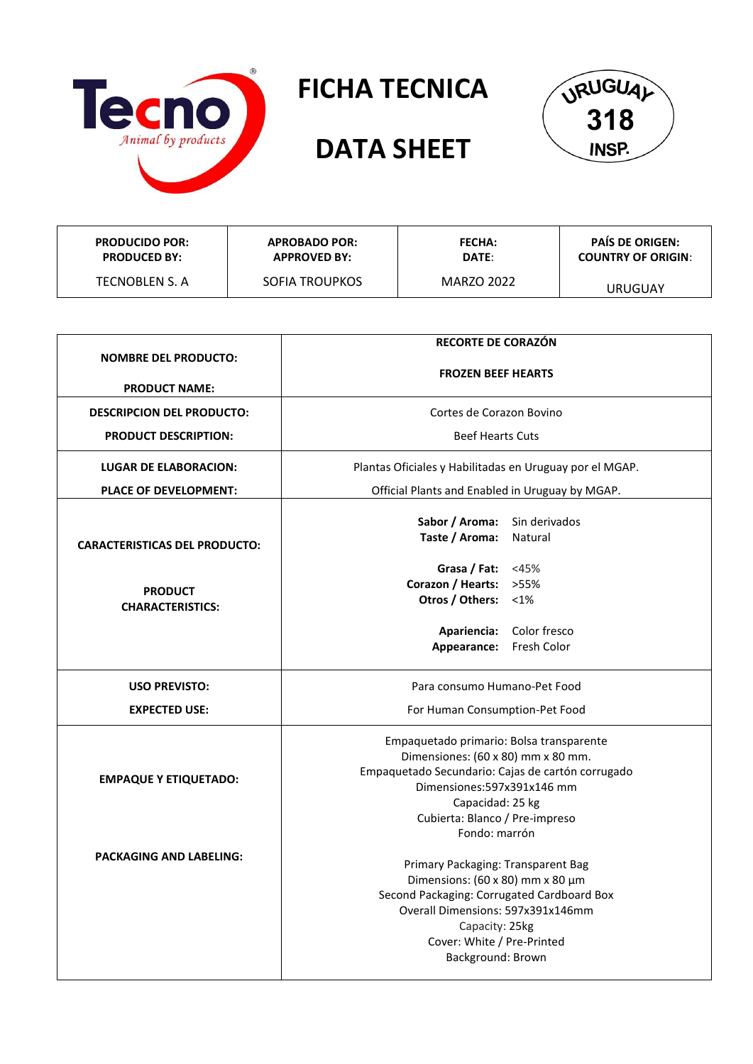

## **FICHA TECNICA**

## **DATA SHEET**



| <b>PRODUCIDO POR:</b> | <b>APROBADO POR:</b>  | <b>FECHA:</b> | <b>PAIS DE ORIGEN:</b>    |
|-----------------------|-----------------------|---------------|---------------------------|
| <b>PRODUCED BY:</b>   | <b>APPROVED BY:</b>   | DATE:         | <b>COUNTRY OF ORIGIN:</b> |
| TECNOBLEN S. A        | <b>SOFIA TROUPKOS</b> | MARZO 2022    | URUGUAY                   |

| <b>NOMBRE DEL PRODUCTO:</b>          | <b>RECORTE DE CORAZÓN</b>                               |  |  |
|--------------------------------------|---------------------------------------------------------|--|--|
|                                      | <b>FROZEN BEEF HEARTS</b>                               |  |  |
| <b>PRODUCT NAME:</b>                 |                                                         |  |  |
| <b>DESCRIPCION DEL PRODUCTO:</b>     | Cortes de Corazon Bovino                                |  |  |
| <b>PRODUCT DESCRIPTION:</b>          | <b>Beef Hearts Cuts</b>                                 |  |  |
| <b>LUGAR DE ELABORACION:</b>         | Plantas Oficiales y Habilitadas en Uruguay por el MGAP. |  |  |
| PLACE OF DEVELOPMENT:                | Official Plants and Enabled in Uruguay by MGAP.         |  |  |
|                                      | Sabor / Aroma:<br>Sin derivados                         |  |  |
| <b>CARACTERISTICAS DEL PRODUCTO:</b> | Taste / Aroma:<br>Natural                               |  |  |
|                                      | Grasa / Fat: $<45\%$                                    |  |  |
| <b>PRODUCT</b>                       | Corazon / Hearts: >55%                                  |  |  |
| <b>CHARACTERISTICS:</b>              | Otros / Others: <1%                                     |  |  |
|                                      | Apariencia:<br>Color fresco                             |  |  |
|                                      | Appearance:<br>Fresh Color                              |  |  |
| <b>USO PREVISTO:</b>                 | Para consumo Humano-Pet Food                            |  |  |
| <b>EXPECTED USE:</b>                 | For Human Consumption-Pet Food                          |  |  |
|                                      | Empaquetado primario: Bolsa transparente                |  |  |
|                                      | Dimensiones: (60 x 80) mm x 80 mm.                      |  |  |
| <b>EMPAQUE Y ETIQUETADO:</b>         | Empaquetado Secundario: Cajas de cartón corrugado       |  |  |
|                                      | Dimensiones: 597x391x146 mm                             |  |  |
|                                      | Capacidad: 25 kg<br>Cubierta: Blanco / Pre-impreso      |  |  |
|                                      | Fondo: marrón                                           |  |  |
| <b>PACKAGING AND LABELING:</b>       |                                                         |  |  |
|                                      | Primary Packaging: Transparent Bag                      |  |  |
|                                      | Dimensions: (60 x 80) mm x 80 $\mu$ m                   |  |  |
|                                      | Second Packaging: Corrugated Cardboard Box              |  |  |
|                                      | Overall Dimensions: 597x391x146mm                       |  |  |
|                                      | Capacity: 25kg<br>Cover: White / Pre-Printed            |  |  |
|                                      | Background: Brown                                       |  |  |
|                                      |                                                         |  |  |